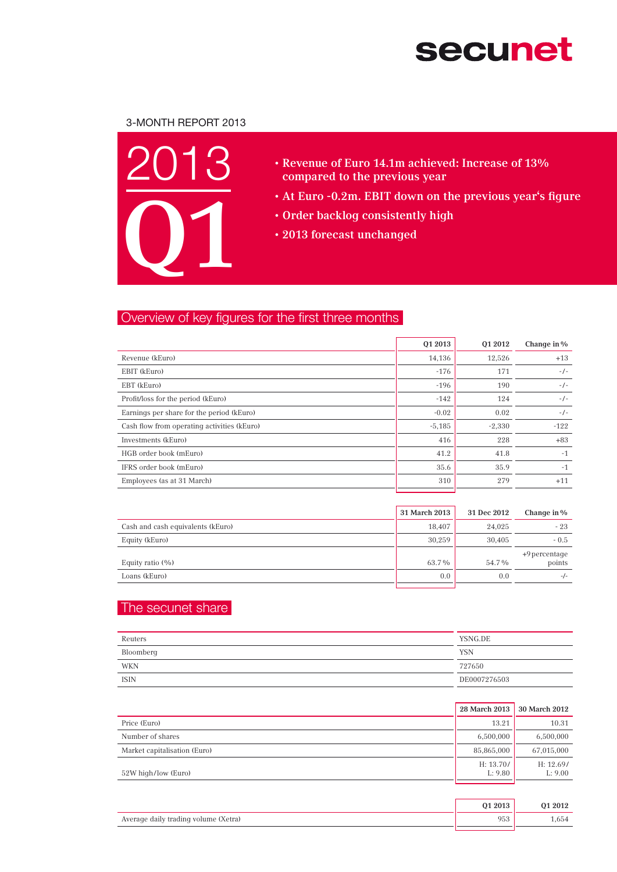# **secunet**

## 3-Month Report 2013



- • Revenue of Euro 14.1m achieved: Increase of 13% compared to the previous year
- • At Euro -0.2m. EBIT down on the previous year's figure
- • Order backlog consistently high
- • 2013 forecast unchanged

## Overview of key figures for the first three months

|                                             | 01 2013  | 01 2012  | Change in % |
|---------------------------------------------|----------|----------|-------------|
| Revenue (kEuro)                             | 14,136   | 12,526   | $+13$       |
| EBIT (kEuro)                                | $-176$   | 171      | $-/-$       |
| EBT (kEuro)                                 | $-196$   | 190      | $-/-$       |
| Profit/loss for the period (kEuro)          | $-142$   | 124      | $-/-$       |
| Earnings per share for the period (kEuro)   | $-0.02$  | 0.02     | $-/-$       |
| Cash flow from operating activities (kEuro) | $-5,185$ | $-2,330$ | $-122$      |
| Investments (kEuro)                         | 416      | 228      | $+83$       |
| HGB order book (mEuro)                      | 41.2     | 41.8     | $-1$        |
| IFRS order book (mEuro)                     | 35.6     | 35.9     | $-1$        |
| Employees (as at 31 March)                  | 310      | 279      | $+11$       |

|                                   | 31 March 2013 | 31 Dec 2012 | Change in %             |
|-----------------------------------|---------------|-------------|-------------------------|
| Cash and cash equivalents (kEuro) | 18,407        | 24,025      | $-23$                   |
| Equity (kEuro)                    | 30,259        | 30.405      | $-0.5$                  |
| Equity ratio (%)                  | 63.7%         | 54.7%       | +9 percentage<br>points |
| Loans (kEuro)                     | 0.0           | 0.0         | $-/-$                   |
|                                   |               |             |                         |

## The secunet share

| Reuters   | YSNG.DE      |
|-----------|--------------|
| Bloomberg | <b>YSN</b>   |
| WKN       | 727650       |
| ISIN      | DE0007276503 |

|                              | 28 March 2013        | 30 March 2012        |
|------------------------------|----------------------|----------------------|
| Price (Euro)                 | 13.21                | 10.31                |
| Number of shares             | 6,500,000            | 6,500,000            |
| Market capitalisation (Euro) | 85,865,000           | 67,015,000           |
| 52W high/low (Euro)          | H: 13.70/<br>L: 9.80 | H: 12.69/<br>L: 9.00 |

|                                      | 01 2013 | 01 2012 |
|--------------------------------------|---------|---------|
| Average daily trading volume (Xetra) | 70 J    | .654    |
|                                      |         |         |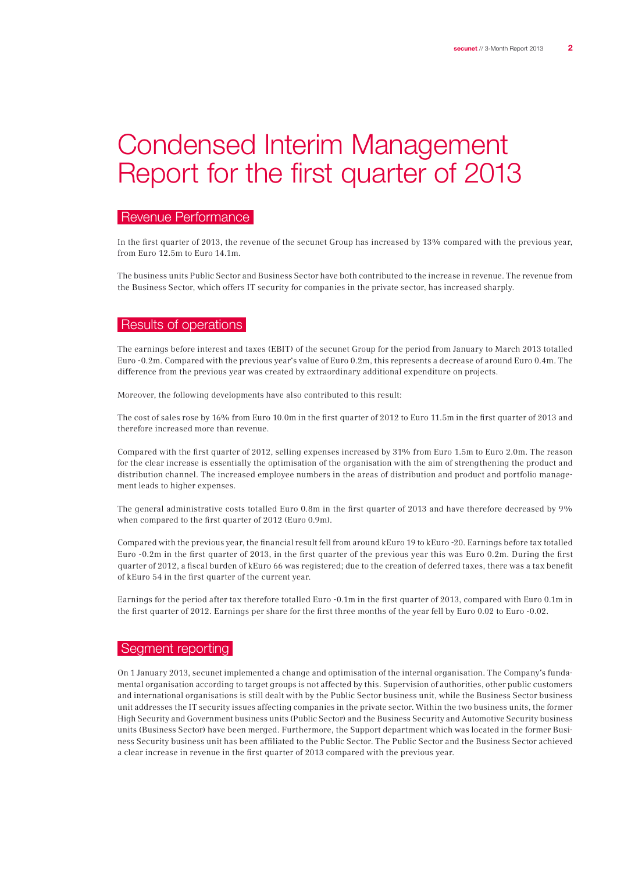## Condensed Interim Management Report for the first quarter of 2013

## Revenue Performance

In the first quarter of 2013, the revenue of the secunet Group has increased by 13% compared with the previous year, from Euro 12.5m to Euro 14.1m.

The business units Public Sector and Business Sector have both contributed to the increase in revenue. The revenue from the Business Sector, which offers IT security for companies in the private sector, has increased sharply.

## Results of operations

The earnings before interest and taxes (EBIT) of the secunet Group for the period from January to March 2013 totalled Euro -0.2m. Compared with the previous year's value of Euro 0.2m, this represents a decrease of around Euro 0.4m. The difference from the previous year was created by extraordinary additional expenditure on projects.

Moreover, the following developments have also contributed to this result:

The cost of sales rose by 16% from Euro 10.0m in the first quarter of 2012 to Euro 11.5m in the first quarter of 2013 and therefore increased more than revenue.

Compared with the first quarter of 2012, selling expenses increased by 31% from Euro 1.5m to Euro 2.0m. The reason for the clear increase is essentially the optimisation of the organisation with the aim of strengthening the product and distribution channel. The increased employee numbers in the areas of distribution and product and portfolio management leads to higher expenses.

The general administrative costs totalled Euro 0.8m in the first quarter of 2013 and have therefore decreased by 9% when compared to the first quarter of 2012 (Euro 0.9m).

Compared with the previous year, the financial result fell from around kEuro 19 to kEuro -20. Earnings before tax totalled Euro -0.2m in the first quarter of 2013, in the first quarter of the previous year this was Euro 0.2m. During the first quarter of 2012, a fiscal burden of kEuro 66 was registered; due to the creation of deferred taxes, there was a tax benefit of kEuro 54 in the first quarter of the current year.

Earnings for the period after tax therefore totalled Euro -0.1m in the first quarter of 2013, compared with Euro 0.1m in the first quarter of 2012. Earnings per share for the first three months of the year fell by Euro 0.02 to Euro -0.02.

### | Segment reporting |

On 1 January 2013, secunet implemented a change and optimisation of the internal organisation. The Company's fundamental organisation according to target groups is not affected by this. Supervision of authorities, other public customers and international organisations is still dealt with by the Public Sector business unit, while the Business Sector business unit addresses the IT security issues affecting companies in the private sector. Within the two business units, the former High Security and Government business units (Public Sector) and the Business Security and Automotive Security business units (Business Sector) have been merged. Furthermore, the Support department which was located in the former Business Security business unit has been affiliated to the Public Sector. The Public Sector and the Business Sector achieved a clear increase in revenue in the first quarter of 2013 compared with the previous year.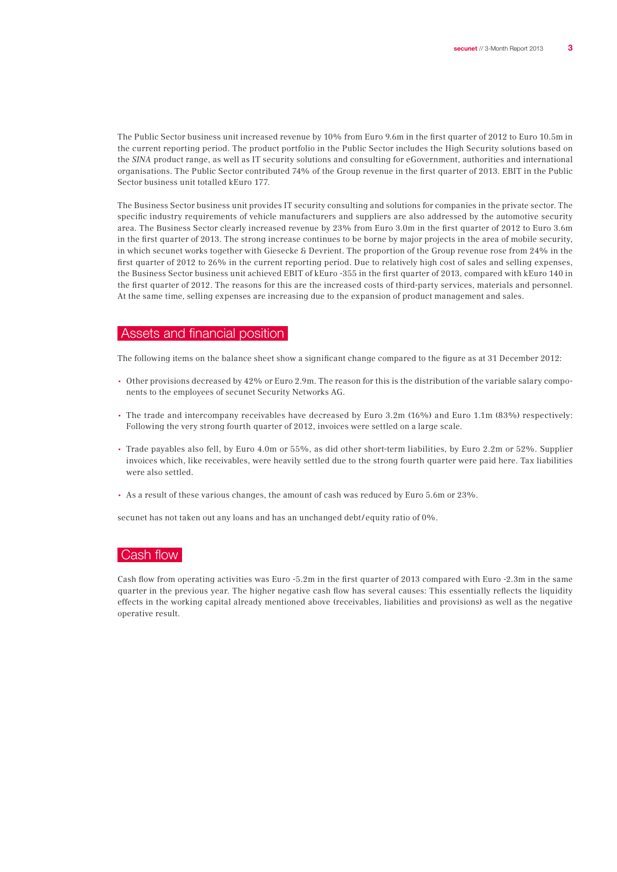The Public Sector business unit increased revenue by 10% from Euro 9.6m in the first quarter of 2012 to Euro 10.5m in the current reporting period. The product portfolio in the Public Sector includes the High Security solutions based on the SINA product range, as well as IT security solutions and consulting for eGovernment, authorities and international organisations. The Public Sector contributed 74% of the Group revenue in the first quarter of 2013. EBIT in the Public Sector business unit totalled kEuro 177.

The Business Sector business unit provides IT security consulting and solutions for companies in the private sector. The specific industry requirements of vehicle manufacturers and suppliers are also addressed by the automotive security area. The Business Sector clearly increased revenue by 23% from Euro 3.0m in the first quarter of 2012 to Euro 3.6m in the first quarter of 2013. The strong increase continues to be borne by major projects in the area of mobile security, in which secunet works together with Giesecke & Devrient. The proportion of the Group revenue rose from 24% in the first quarter of 2012 to 26% in the current reporting period. Due to relatively high cost of sales and selling expenses, the Business Sector business unit achieved EBIT of kEuro -355 in the first quarter of 2013, compared with kEuro 140 in the first quarter of 2012. The reasons for this are the increased costs of third-party services, materials and personnel. At the same time, selling expenses are increasing due to the expansion of product management and sales.

#### Assets and financial position

The following items on the balance sheet show a significant change compared to the figure as at 31 December 2012:

- Other provisions decreased by 42% or Euro 2.9m. The reason for this is the distribution of the variable salary components to the employees of secunet Security Networks AG.
- The trade and intercompany receivables have decreased by Euro 3.2m (16%) and Euro 1.1m (83%) respectively: Following the very strong fourth quarter of 2012, invoices were settled on a large scale.
- Trade payables also fell, by Euro 4.0m or 55%, as did other short-term liabilities, by Euro 2.2m or 52%. Supplier invoices which, like receivables, were heavily settled due to the strong fourth quarter were paid here. Tax liabilities were also settled.
- As a result of these various changes, the amount of cash was reduced by Euro 5.6m or 23%.

secunet has not taken out any loans and has an unchanged debt/equity ratio of 0%.

## Cash flow

Cash flow from operating activities was Euro -5.2m in the first quarter of 2013 compared with Euro -2.3m in the same quarter in the previous year. The higher negative cash flow has several causes: This essentially reflects the liquidity effects in the working capital already mentioned above (receivables, liabilities and provisions) as well as the negative operative result.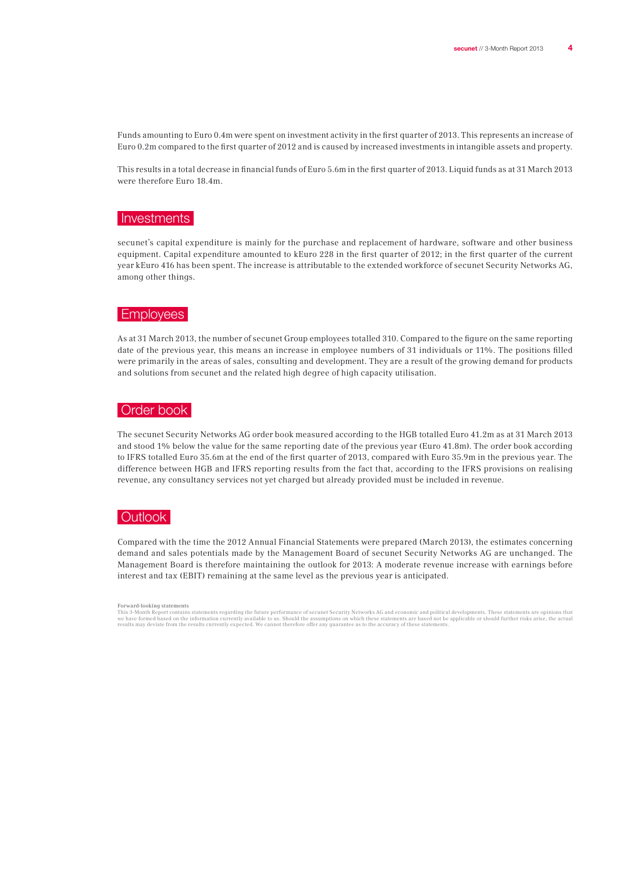Funds amounting to Euro 0.4m were spent on investment activity in the first quarter of 2013. This represents an increase of Euro 0.2m compared to the first quarter of 2012 and is caused by increased investments in intangible assets and property.

This results in a total decrease in financial funds of Euro 5.6m in the first quarter of 2013. Liquid funds as at 31 March 2013 were therefore Euro 18.4m.

### Investments

secunet's capital expenditure is mainly for the purchase and replacement of hardware, software and other business equipment. Capital expenditure amounted to kEuro 228 in the first quarter of 2012; in the first quarter of the current year kEuro 416 has been spent. The increase is attributable to the extended workforce of secunet Security Networks AG, among other things.

#### Employees

As at 31 March 2013, the number of secunet Group employees totalled 310. Compared to the figure on the same reporting date of the previous year, this means an increase in employee numbers of 31 individuals or 11%. The positions filled were primarily in the areas of sales, consulting and development. They are a result of the growing demand for products and solutions from secunet and the related high degree of high capacity utilisation.

#### Order book

The secunet Security Networks AG order book measured according to the HGB totalled Euro 41.2m as at 31 March 2013 and stood 1% below the value for the same reporting date of the previous year (Euro 41.8m). The order book according to IFRS totalled Euro 35.6m at the end of the first quarter of 2013, compared with Euro 35.9m in the previous year. The difference between HGB and IFRS reporting results from the fact that, according to the IFRS provisions on realising revenue, any consultancy services not yet charged but already provided must be included in revenue.

## **Outlook**

Compared with the time the 2012 Annual Financial Statements were prepared (March 2013), the estimates concerning demand and sales potentials made by the Management Board of secunet Security Networks AG are unchanged. The Management Board is therefore maintaining the outlook for 2013: A moderate revenue increase with earnings before interest and tax (EBIT) remaining at the same level as the previous year is anticipated.

This 3-Month Report contains statements regarding the future performance of secunet Security Networks AG and economic and political developments. These statements are opinions that<br>we have formed based on the information c

Forward-looking statements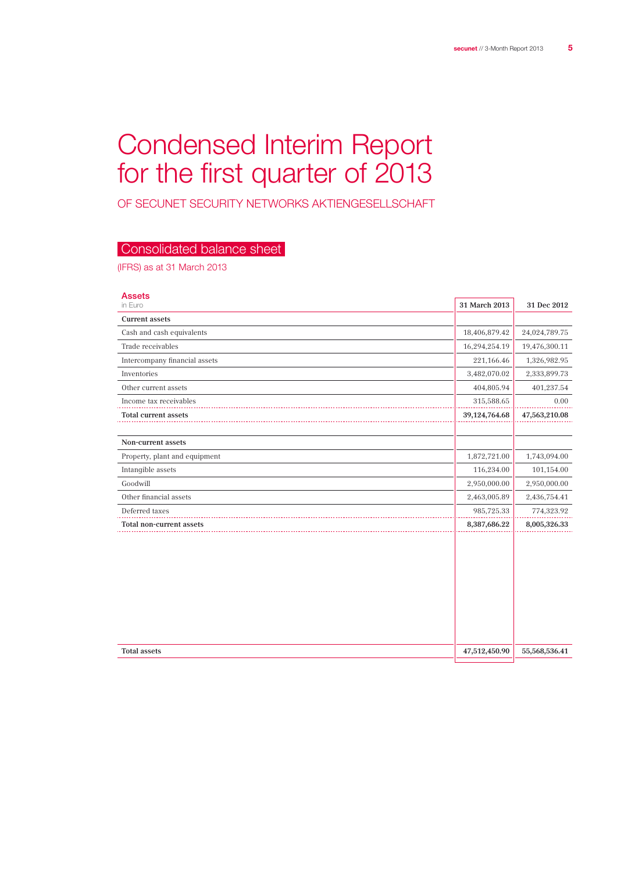## Condensed Interim Report for the first quarter of 2013

of secunet Security Networks Aktiengesellschaft

## Consolidated balance sheet

(IFRS) as at 31 March 2013

| <b>Assets</b>                 |               |               |
|-------------------------------|---------------|---------------|
| in Euro                       | 31 March 2013 | 31 Dec 2012   |
| <b>Current assets</b>         |               |               |
| Cash and cash equivalents     | 18,406,879.42 | 24,024,789.75 |
| Trade receivables             | 16,294,254.19 | 19,476,300.11 |
| Intercompany financial assets | 221,166.46    | 1,326,982.95  |
| Inventories                   | 3,482,070.02  | 2,333,899.73  |
| Other current assets          | 404,805.94    | 401,237.54    |
| Income tax receivables        | 315,588.65    | 0.00          |
| Total current assets          | 39,124,764.68 | 47,563,210.08 |
|                               |               |               |
| Non-current assets            |               |               |
| Property, plant and equipment | 1,872,721.00  | 1,743,094.00  |
| Intangible assets             | 116,234.00    | 101,154.00    |
| Goodwill                      | 2,950,000.00  | 2,950,000.00  |
| Other financial assets        | 2,463,005.89  | 2,436,754.41  |
| Deferred taxes                | 985,725.33    | 774,323.92    |
| Total non-current assets      | 8,387,686.22  | 8,005,326.33  |
|                               |               |               |
|                               |               |               |
|                               |               |               |
|                               |               |               |
|                               |               |               |
|                               |               |               |
|                               |               |               |
|                               |               |               |
| <b>Total assets</b>           | 47,512,450.90 | 55,568,536.41 |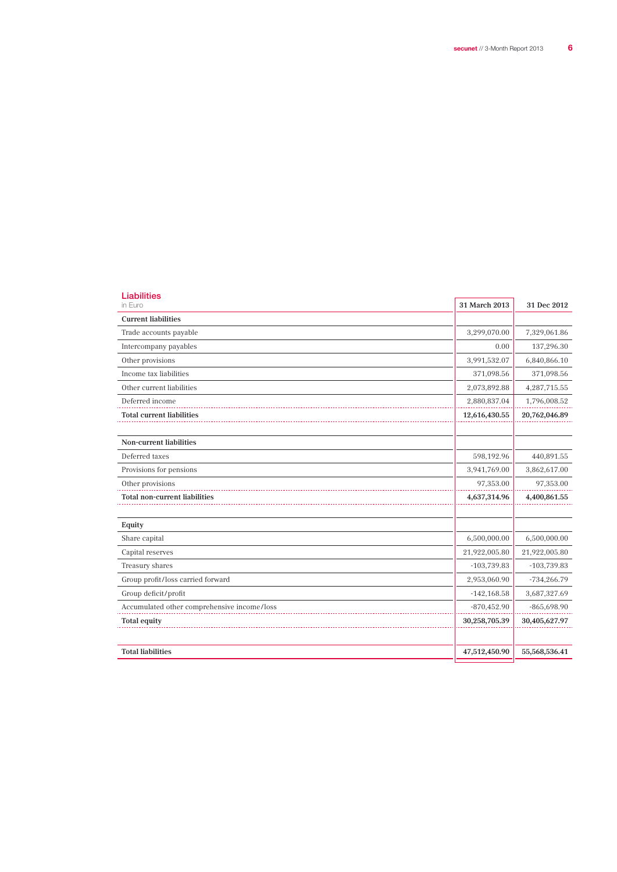L.

| <b>Liabilities</b><br>in Euro               | 31 March 2013  | 31 Dec 2012        |
|---------------------------------------------|----------------|--------------------|
| <b>Current liabilities</b>                  |                |                    |
| Trade accounts payable                      | 3,299,070.00   | 7,329,061.86       |
| Intercompany payables                       | 0.00           | 137,296.30         |
| Other provisions                            | 3,991,532.07   | 6,840,866.10       |
| Income tax liabilities                      | 371,098.56     | 371,098.56         |
| Other current liabilities                   | 2,073,892.88   | 4,287,715.55       |
| Deferred income                             | 2,880,837.04   | 1,796,008.52       |
| <b>Total current liabilities</b>            | 12,616,430.55  | 20,762,046.89      |
| Non-current liabilities                     |                |                    |
| Deferred taxes                              | 598,192.96     | 440,891.55         |
| Provisions for pensions                     | 3,941,769.00   | 3,862,617.00       |
| Other provisions                            | 97,353.00      | 97,353.00          |
| <b>Total non-current liabilities</b>        | 4,637,314.96   | $4,\!400,\!861.55$ |
| Equity                                      |                |                    |
| Share capital                               | 6,500,000.00   | 6,500,000.00       |
| Capital reserves                            | 21,922,005.80  | 21,922,005.80      |
| Treasury shares                             | $-103,739.83$  | $-103,739.83$      |
| Group profit/loss carried forward           | 2,953,060.90   | $-734,266.79$      |
| Group deficit/profit                        | $-142, 168.58$ | 3,687,327.69       |
| Accumulated other comprehensive income/loss | $-870,452.90$  | $-865,698.90$      |
| <b>Total equity</b>                         | 30,258,705.39  | 30,405,627.97      |
| <b>Total liabilities</b>                    | 47,512,450.90  | 55,568,536.41      |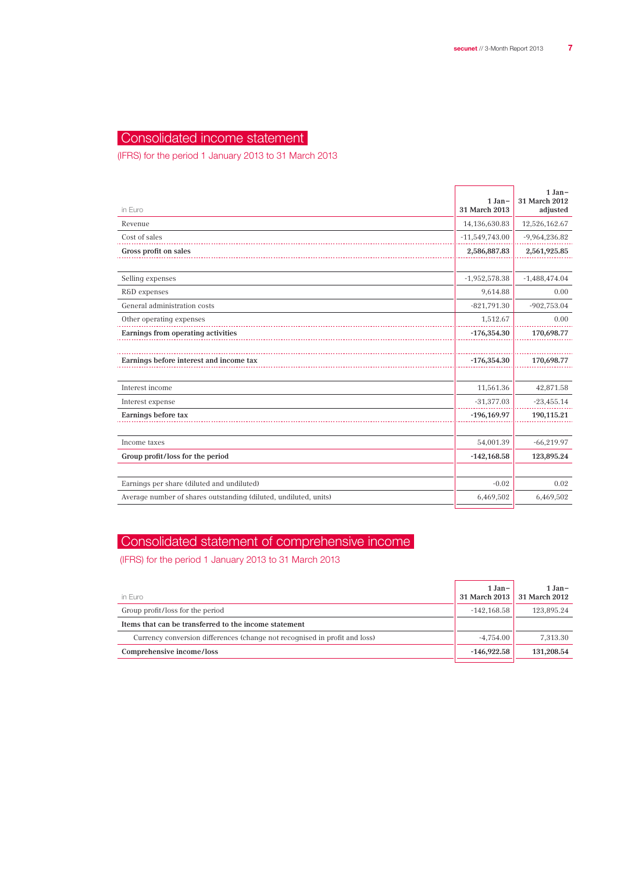## Consolidated income statement

(IFRS) for the period 1 January 2013 to 31 March 2013

| in Euro                                                          | $1 Jan-$<br>31 March 2013 | $1 Jan-$<br>31 March 2012<br>adjusted |
|------------------------------------------------------------------|---------------------------|---------------------------------------|
| Revenue                                                          | 14,136,630.83             | 12,526,162.67                         |
| Cost of sales                                                    | $-11,549,743.00$          | $-9,964,236.82$                       |
| Gross profit on sales                                            | 2,586,887.83              | 2,561,925.85                          |
|                                                                  |                           |                                       |
| Selling expenses                                                 | $-1,952,578.38$           | $-1,488,474.04$                       |
| R&D expenses                                                     | 9,614.88                  | 0.00                                  |
| General administration costs                                     | $-821,791.30$             | $-902,753.04$                         |
| Other operating expenses                                         | 1,512.67                  | 0.00                                  |
| Earnings from operating activities                               | $-176,354.30$             | 170,698.77                            |
|                                                                  |                           |                                       |
| Earnings before interest and income tax                          | $-176,354.30$             | 170,698.77                            |
|                                                                  |                           |                                       |
| Interest income                                                  | 11,561.36                 | 42,871.58                             |
| Interest expense                                                 | $-31,377.03$              | $-23,455.14$                          |
| Earnings before tax                                              | $-196, 169.97$            | 190,115.21                            |
|                                                                  |                           |                                       |
| Income taxes                                                     | 54,001.39                 | $-66,219.97$                          |
| Group profit/loss for the period                                 | $-142,168.58$             | 123,895.24                            |
|                                                                  |                           |                                       |
| Earnings per share (diluted and undiluted)                       | $-0.02$                   | 0.02                                  |
| Average number of shares outstanding (diluted, undiluted, units) | 6,469,502                 | 6,469,502                             |

## Consolidated statement of comprehensive income

(IFRS) for the period 1 January 2013 to 31 March 2013

| in Euro                                                                    | $1 Jan-$      | $1 Jan-$<br>31 March 2013 31 March 2012 |
|----------------------------------------------------------------------------|---------------|-----------------------------------------|
| Group profit/loss for the period                                           | $-142.168.58$ | 123.895.24                              |
| Items that can be transferred to the income statement                      |               |                                         |
| Currency conversion differences (change not recognised in profit and loss) | $-4.754.00$   | 7,313.30                                |
| Comprehensive income/loss                                                  | $-146.922.58$ | 131,208.54                              |
|                                                                            |               |                                         |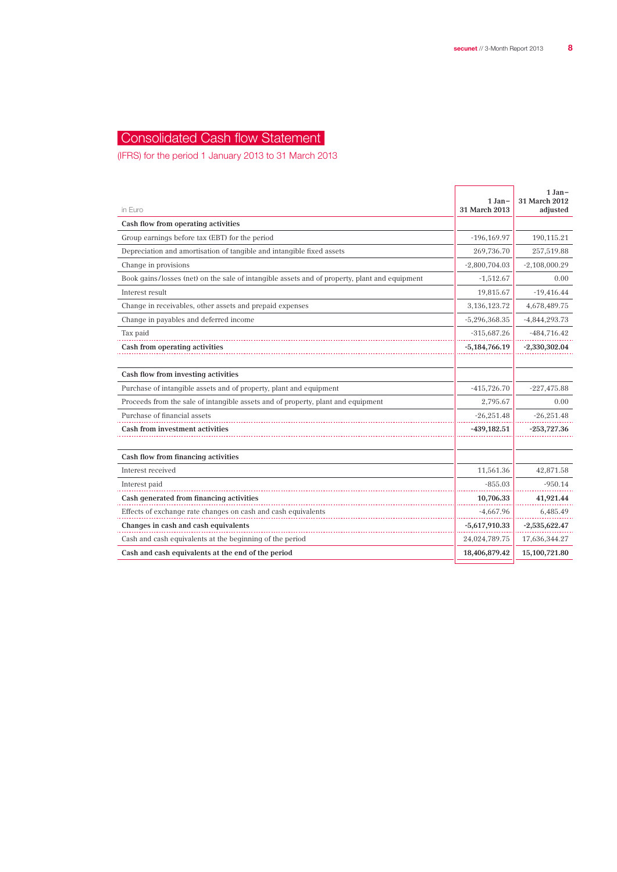## Consolidated Cash flow Statement

(IFRS) for the period 1 January 2013 to 31 March 2013

| in Euro                                                                                       | 1 Jan-<br>31 March 2013 | $1 Jan-$<br>31 March 2012<br>adjusted |
|-----------------------------------------------------------------------------------------------|-------------------------|---------------------------------------|
| Cash flow from operating activities                                                           |                         |                                       |
| Group earnings before tax (EBT) for the period                                                | $-196, 169.97$          | 190,115.21                            |
| Depreciation and amortisation of tangible and intangible fixed assets                         | 269,736.70              | 257,519.88                            |
| Change in provisions                                                                          | $-2,800,704.03$         | $-2,108,000.29$                       |
| Book gains/losses (net) on the sale of intangible assets and of property, plant and equipment | $-1,512.67$             | 0.00                                  |
| Interest result                                                                               | 19.815.67               | $-19,416.44$                          |
| Change in receivables, other assets and prepaid expenses                                      | 3,136,123.72            | 4,678,489.75                          |
| Change in payables and deferred income                                                        | $-5,296,368.35$         | $-4,844,293.73$                       |
| Tax paid                                                                                      | $-315,687.26$           | $-484,716.42$                         |
| Cash from operating activities                                                                | $-5,184,766.19$         | $-2,330,302.04$                       |
|                                                                                               |                         |                                       |
| Cash flow from investing activities                                                           |                         |                                       |
| Purchase of intangible assets and of property, plant and equipment                            | $-415,726.70$           | $-227,475.88$                         |
| Proceeds from the sale of intangible assets and of property, plant and equipment              | 2,795.67                | 0.00                                  |
| Purchase of financial assets                                                                  | $-26,251.48$            | $-26,251.48$                          |
| Cash from investment activities                                                               | $-439,182.51$           | $-253,727.36$                         |
|                                                                                               |                         |                                       |
| Cash flow from financing activities                                                           |                         |                                       |
| Interest received                                                                             | 11,561.36               | 42,871.58                             |
| Interest paid                                                                                 | $-855.03$               | $-950.14$                             |
| Cash generated from financing activities                                                      | 10,706.33               | 41,921.44                             |
| Effects of exchange rate changes on cash and cash equivalents                                 | $-4,667.96$             | 6,485.49                              |
| Changes in cash and cash equivalents                                                          | $-5,617,910.33$         | $-2,535,622.47$                       |
| Cash and cash equivalents at the beginning of the period                                      | 24,024,789.75           | 17,636,344.27                         |
| Cash and cash equivalents at the end of the period                                            | 18,406,879.42           | 15,100,721.80                         |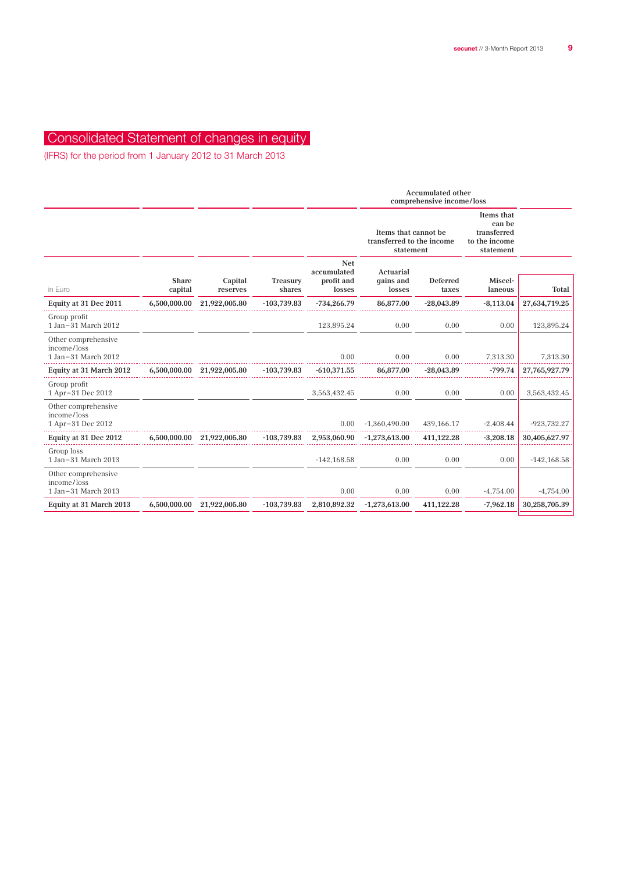## Consolidated Statement of changes in equity

(IFRS) for the period from 1 January 2012 to 31 March 2013

|                         |                     |                                                          |                                                   | <b>Accumulated other</b><br>comprehensive income/loss          |                   |                                                                   |                |
|-------------------------|---------------------|----------------------------------------------------------|---------------------------------------------------|----------------------------------------------------------------|-------------------|-------------------------------------------------------------------|----------------|
|                         |                     |                                                          |                                                   | Items that cannot be<br>transferred to the income<br>statement |                   | Items that<br>can be<br>transferred<br>to the income<br>statement |                |
| <b>Share</b><br>capital | Capital<br>reserves | Treasury<br>shares                                       | <b>Net</b><br>accumulated<br>profit and<br>losses | Actuarial<br>gains and<br>losses                               | Deferred<br>taxes | Miscel-<br>laneous                                                | Total          |
| 6,500,000.00            | 21,922,005.80       | $-103,739.83$                                            | $-734,266.79$                                     | 86,877.00                                                      | $-28,043.89$      | $-8,113.04$                                                       | 27,634,719.25  |
|                         |                     |                                                          | 123,895.24                                        | 0.00                                                           | 0.00              | 0.00                                                              | 123,895.24     |
|                         |                     |                                                          | 0.00                                              | 0.00                                                           | 0.00              | 7,313.30                                                          | 7,313.30       |
|                         |                     | $-103,739.83$                                            | $-610,371.55$                                     | 86,877.00                                                      | $-28,043.89$      | $-799.74$                                                         | 27,765,927.79  |
|                         |                     |                                                          | 3,563,432.45                                      | 0.00                                                           | 0.00              | 0.00                                                              | 3,563,432.45   |
|                         |                     |                                                          | 0.00                                              | $-1,360,490.00$                                                | 439,166.17        | $-2,408.44$                                                       | $-923,732.27$  |
|                         |                     | $-103,739.83$                                            | 2,953,060.90                                      | $-1,273,613.00$                                                | 411,122.28        | $-3,208.18$                                                       | 30,405,627.97  |
|                         |                     |                                                          | $-142, 168.58$                                    | 0.00                                                           | 0.00              | 0.00                                                              | $-142, 168.58$ |
|                         |                     |                                                          | 0.00                                              | 0.00                                                           | 0.00              | $-4,754.00$                                                       | $-4,754.00$    |
| 6,500,000.00            | 21,922,005.80       | $-103,739.83$                                            | 2,810,892.32                                      | $-1,273,613.00$                                                | 411,122.28        | $-7,962.18$                                                       | 30,258,705.39  |
|                         |                     | 6,500,000.00 21,922,005.80<br>6,500,000.00 21,922,005.80 |                                                   |                                                                |                   |                                                                   |                |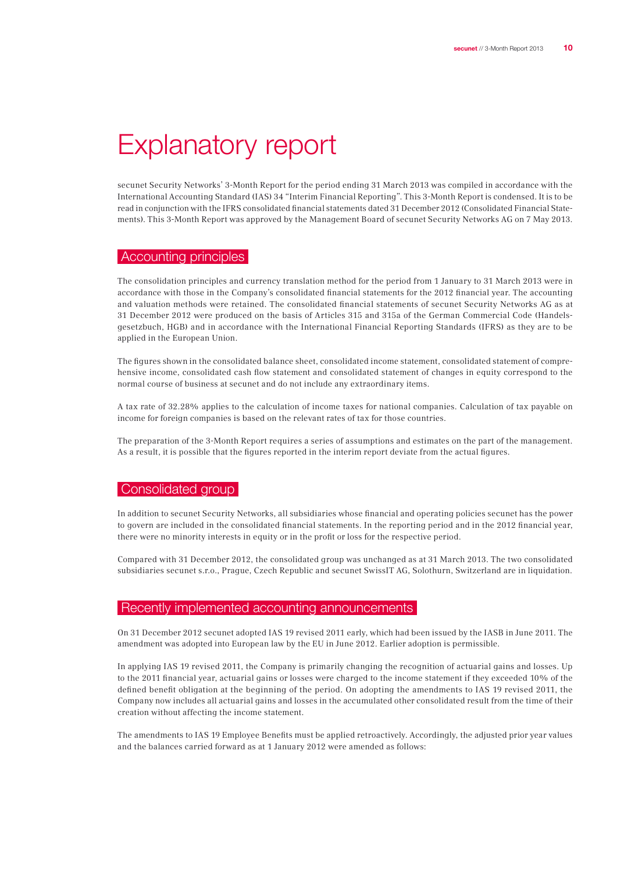## Explanatory report

secunet Security Networks' 3-Month Report for the period ending 31 March 2013 was compiled in accordance with the International Accounting Standard (IAS) 34 "Interim Financial Reporting". This 3-Month Report is condensed. It is to be read in conjunction with the IFRS consolidated financial statements dated 31 December 2012 (Consolidated Financial Statements). This 3-Month Report was approved by the Management Board of secunet Security Networks AG on 7 May 2013.

#### Accounting principles

The consolidation principles and currency translation method for the period from 1 January to 31 March 2013 were in accordance with those in the Company's consolidated financial statements for the 2012 financial year. The accounting and valuation methods were retained. The consolidated financial statements of secunet Security Networks AG as at 31 December 2012 were produced on the basis of Articles 315 and 315a of the German Commercial Code (Handelsgesetzbuch, HGB) and in accordance with the International Financial Reporting Standards (IFRS) as they are to be applied in the European Union.

The figures shown in the consolidated balance sheet, consolidated income statement, consolidated statement of comprehensive income, consolidated cash flow statement and consolidated statement of changes in equity correspond to the normal course of business at secunet and do not include any extraordinary items.

A tax rate of 32.28% applies to the calculation of income taxes for national companies. Calculation of tax payable on income for foreign companies is based on the relevant rates of tax for those countries.

The preparation of the 3-Month Report requires a series of assumptions and estimates on the part of the management. As a result, it is possible that the figures reported in the interim report deviate from the actual figures.

#### Consolidated group

In addition to secunet Security Networks, all subsidiaries whose financial and operating policies secunet has the power to govern are included in the consolidated financial statements. In the reporting period and in the 2012 financial year, there were no minority interests in equity or in the profit or loss for the respective period.

Compared with 31 December 2012, the consolidated group was unchanged as at 31 March 2013. The two consolidated subsidiaries secunet s.r.o., Prague, Czech Republic and secunet SwissIT AG, Solothurn, Switzerland are in liquidation.

#### Recently implemented accounting announcements

On 31 December 2012 secunet adopted IAS 19 revised 2011 early, which had been issued by the IASB in June 2011. The amendment was adopted into European law by the EU in June 2012. Earlier adoption is permissible.

In applying IAS 19 revised 2011, the Company is primarily changing the recognition of actuarial gains and losses. Up to the 2011 financial year, actuarial gains or losses were charged to the income statement if they exceeded 10% of the defined benefit obligation at the beginning of the period. On adopting the amendments to IAS 19 revised 2011, the Company now includes all actuarial gains and losses in the accumulated other consolidated result from the time of their creation without affecting the income statement.

The amendments to IAS 19 Employee Benefits must be applied retroactively. Accordingly, the adjusted prior year values and the balances carried forward as at 1 January 2012 were amended as follows: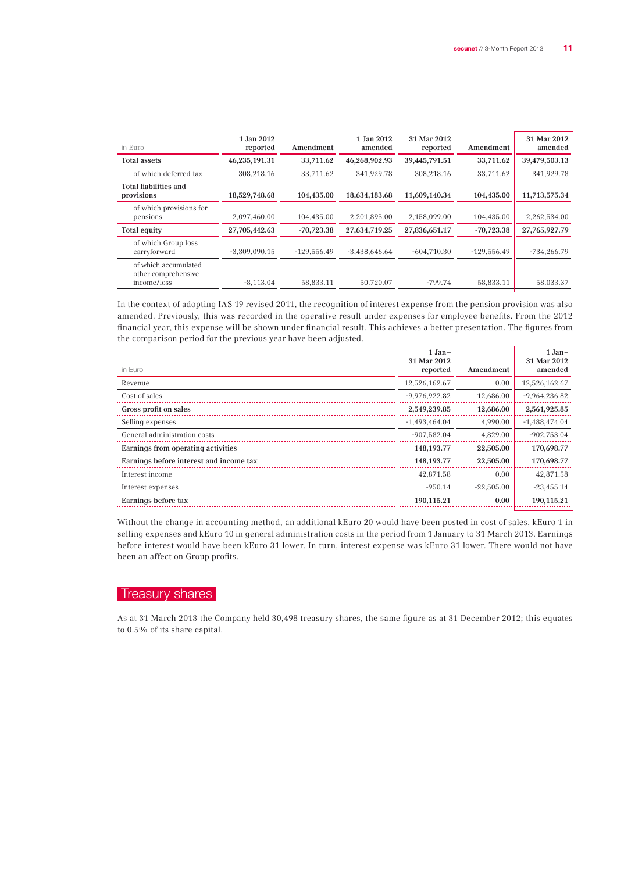$\overline{1}$   $\overline{1}$ 

| in Euro                                                    | 1 Jan 2012<br>reported | Amendment     | 1 Jan 2012<br>amended | 31 Mar 2012<br>reported | Amendment     | 31 Mar 2012<br>amended |
|------------------------------------------------------------|------------------------|---------------|-----------------------|-------------------------|---------------|------------------------|
| <b>Total assets</b>                                        | 46,235,191.31          | 33,711.62     | 46,268,902.93         | 39,445,791.51           | 33,711.62     | 39,479,503.13          |
| of which deferred tax                                      | 308,218.16             | 33.711.62     | 341.929.78            | 308.218.16              | 33,711.62     | 341,929.78             |
| <b>Total liabilities and</b><br>provisions                 | 18,529,748.68          | 104.435.00    | 18,634,183.68         | 11,609,140.34           | 104,435.00    | 11,713,575.34          |
| of which provisions for<br>pensions                        | 2.097.460.00           | 104.435.00    | 2.201.895.00          | 2.158.099.00            | 104.435.00    | 2.262.534.00           |
| <b>Total equity</b>                                        | 27,705,442.63          | $-70,723.38$  | 27,634,719.25         | 27,836,651.17           | $-70,723.38$  | 27,765,927.79          |
| of which Group loss<br>carryforward                        | $-3,309,090.15$        | $-129,556.49$ | $-3,438,646.64$       | $-604,710.30$           | $-129,556.49$ | $-734,266.79$          |
| of which accumulated<br>other comprehensive<br>income/loss | $-8.113.04$            | 58.833.11     | 50.720.07             | $-799.74$               | 58.833.11     | 58.033.37              |

In the context of adopting IAS 19 revised 2011, the recognition of interest expense from the pension provision was also amended. Previously, this was recorded in the operative result under expenses for employee benefits. From the 2012 financial year, this expense will be shown under financial result. This achieves a better presentation. The figures from the comparison period for the previous year have been adjusted.

1 Jan–

| in Euro                                 | - 188<br>31 Mar 2012<br>reported | Amendment    | - 1166<br>31 Mar 2012<br>amended |
|-----------------------------------------|----------------------------------|--------------|----------------------------------|
| Revenue                                 | 12,526,162.67                    | 0.00         | 12,526,162.67                    |
| Cost of sales                           | $-9.976.922.82$                  | 12.686.00    | $-9,964,236.82$                  |
| Gross profit on sales                   | 2,549,239.85                     | 12,686.00    | 2,561,925.85                     |
| Selling expenses                        | $-1,493,464.04$                  | 4.990.00     | $-1,488,474.04$                  |
| General administration costs            | $-907.582.04$                    | 4.829.00     | $-902,753.04$                    |
| Earnings from operating activities      | 148,193.77                       | 22,505.00    | 170,698.77                       |
| Earnings before interest and income tax | 148, 193. 77                     | 22,505.00    | 170,698.77                       |
| Interest income                         | 42,871.58                        | 0.00         | 42,871.58                        |
| Interest expenses                       | $-950.14$                        | $-22.505.00$ | $-23,455.14$                     |
| Earnings before tax                     | 190,115.21                       | 0.00         | 190,115.21                       |

Without the change in accounting method, an additional kEuro 20 would have been posted in cost of sales, kEuro 1 in selling expenses and kEuro 10 in general administration costs in the period from 1 January to 31 March 2013. Earnings before interest would have been kEuro 31 lower. In turn, interest expense was kEuro 31 lower. There would not have been an affect on Group profits.

## Treasury shares

As at 31 March 2013 the Company held 30,498 treasury shares, the same figure as at 31 December 2012; this equates to 0.5% of its share capital.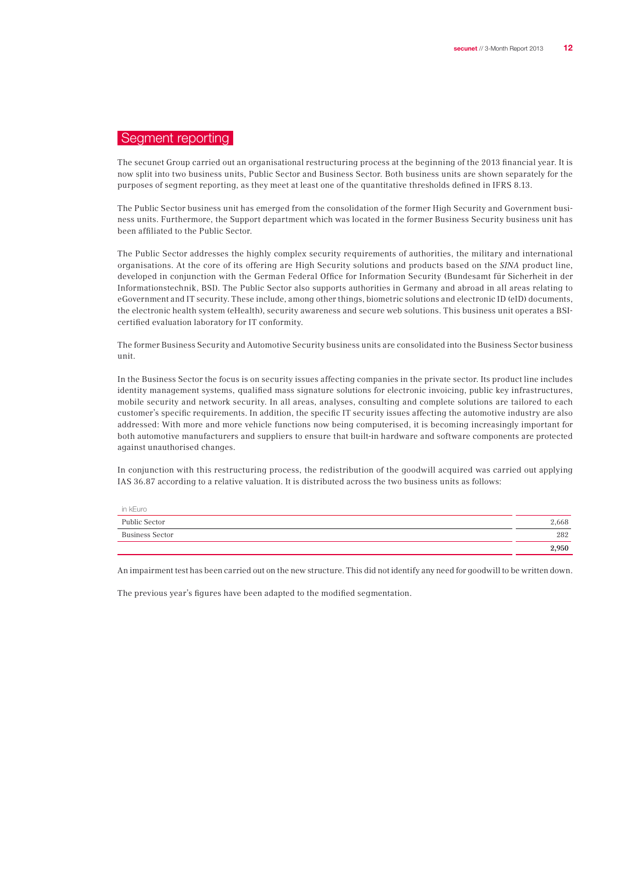## Segment reporting

The secunet Group carried out an organisational restructuring process at the beginning of the 2013 financial year. It is now split into two business units, Public Sector and Business Sector. Both business units are shown separately for the purposes of segment reporting, as they meet at least one of the quantitative thresholds defined in IFRS 8.13.

The Public Sector business unit has emerged from the consolidation of the former High Security and Government business units. Furthermore, the Support department which was located in the former Business Security business unit has been affiliated to the Public Sector.

The Public Sector addresses the highly complex security requirements of authorities, the military and international organisations. At the core of its offering are High Security solutions and products based on the SINA product line, developed in conjunction with the German Federal Office for Information Security (Bundesamt für Sicherheit in der Informationstechnik, BSI). The Public Sector also supports authorities in Germany and abroad in all areas relating to eGovernment and IT security. These include, among other things, biometric solutions and electronic ID (eID) documents, the electronic health system (eHealth), security awareness and secure web solutions. This business unit operates a BSIcertified evaluation laboratory for IT conformity.

The former Business Security and Automotive Security business units are consolidated into the Business Sector business unit.

In the Business Sector the focus is on security issues affecting companies in the private sector. Its product line includes identity management systems, qualified mass signature solutions for electronic invoicing, public key infrastructures, mobile security and network security. In all areas, analyses, consulting and complete solutions are tailored to each customer's specific requirements. In addition, the specific IT security issues affecting the automotive industry are also addressed: With more and more vehicle functions now being computerised, it is becoming increasingly important for both automotive manufacturers and suppliers to ensure that built-in hardware and software components are protected against unauthorised changes.

In conjunction with this restructuring process, the redistribution of the goodwill acquired was carried out applying IAS 36.87 according to a relative valuation. It is distributed across the two business units as follows:

| in kEuro        |       |
|-----------------|-------|
| Public Sector   | 2,668 |
| Business Sector | 282   |
|                 | 2,950 |

An impairment test has been carried out on the new structure. This did not identify any need for goodwill to be written down.

The previous year's figures have been adapted to the modified segmentation.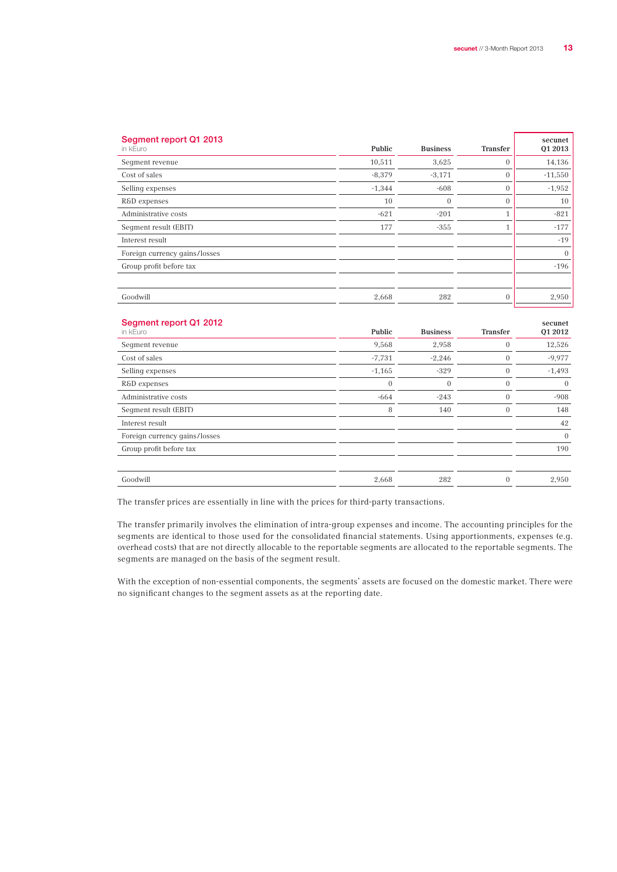| Segment report Q1 2013<br>in kEuro | Public   | <b>Business</b> | Transfer     | secunet<br>01 2013 |
|------------------------------------|----------|-----------------|--------------|--------------------|
| Segment revenue                    | 10,511   | 3,625           | $\Omega$     | 14,136             |
| Cost of sales                      | $-8,379$ | $-3,171$        | $\mathbf{0}$ | $-11,550$          |
| Selling expenses                   | $-1,344$ | $-608$          | $\mathbf{0}$ | $-1,952$           |
| R&D expenses                       | 10       | $\overline{0}$  | $\mathbf{0}$ | 10                 |
| Administrative costs               | $-621$   | $-201$          | $\mathbf{1}$ | $-821$             |
| Segment result (EBIT)              | 177      | $-355$          | $\mathbf{1}$ | $-177$             |
| Interest result                    |          |                 |              | $-19$              |
| Foreign currency gains/losses      |          |                 |              | $\overline{0}$     |
| Group profit before tax            |          |                 |              | $-196$             |
|                                    |          |                 |              |                    |
| Goodwill                           | 2,668    | 282             | $\mathbf{0}$ | 2,950              |
|                                    |          |                 |              |                    |

| Segment report Q1 2012<br>in kEuro | Public   | <b>Business</b> | Transfer       | secunet<br>01 2012 |
|------------------------------------|----------|-----------------|----------------|--------------------|
| Seqment revenue                    | 9,568    | 2,958           | $\mathbf{0}$   | 12,526             |
| Cost of sales                      | $-7,731$ | $-2,246$        | $\mathbf{0}$   | $-9,977$           |
| Selling expenses                   | $-1,165$ | $-329$          | $\overline{0}$ | $-1,493$           |
| R&D expenses                       | $\theta$ | $\overline{0}$  | $\mathbf{0}$   | $\overline{0}$     |
| Administrative costs               | $-664$   | $-243$          | $\mathbf{0}$   | $-908$             |
| Seqment result (EBIT)              | 8        | 140             | $\mathbf{0}$   | 148                |
| Interest result                    |          |                 |                | 42                 |
| Foreign currency gains/losses      |          |                 |                | $\overline{0}$     |
| Group profit before tax            |          |                 |                | 190                |
|                                    |          |                 |                |                    |
| Goodwill                           | 2,668    | 282             | $\mathbf{0}$   | 2,950              |
|                                    |          |                 |                |                    |

The transfer prices are essentially in line with the prices for third-party transactions.

The transfer primarily involves the elimination of intra-group expenses and income. The accounting principles for the segments are identical to those used for the consolidated financial statements. Using apportionments, expenses (e.g. overhead costs) that are not directly allocable to the reportable segments are allocated to the reportable segments. The segments are managed on the basis of the segment result.

With the exception of non-essential components, the segments' assets are focused on the domestic market. There were no significant changes to the segment assets as at the reporting date.